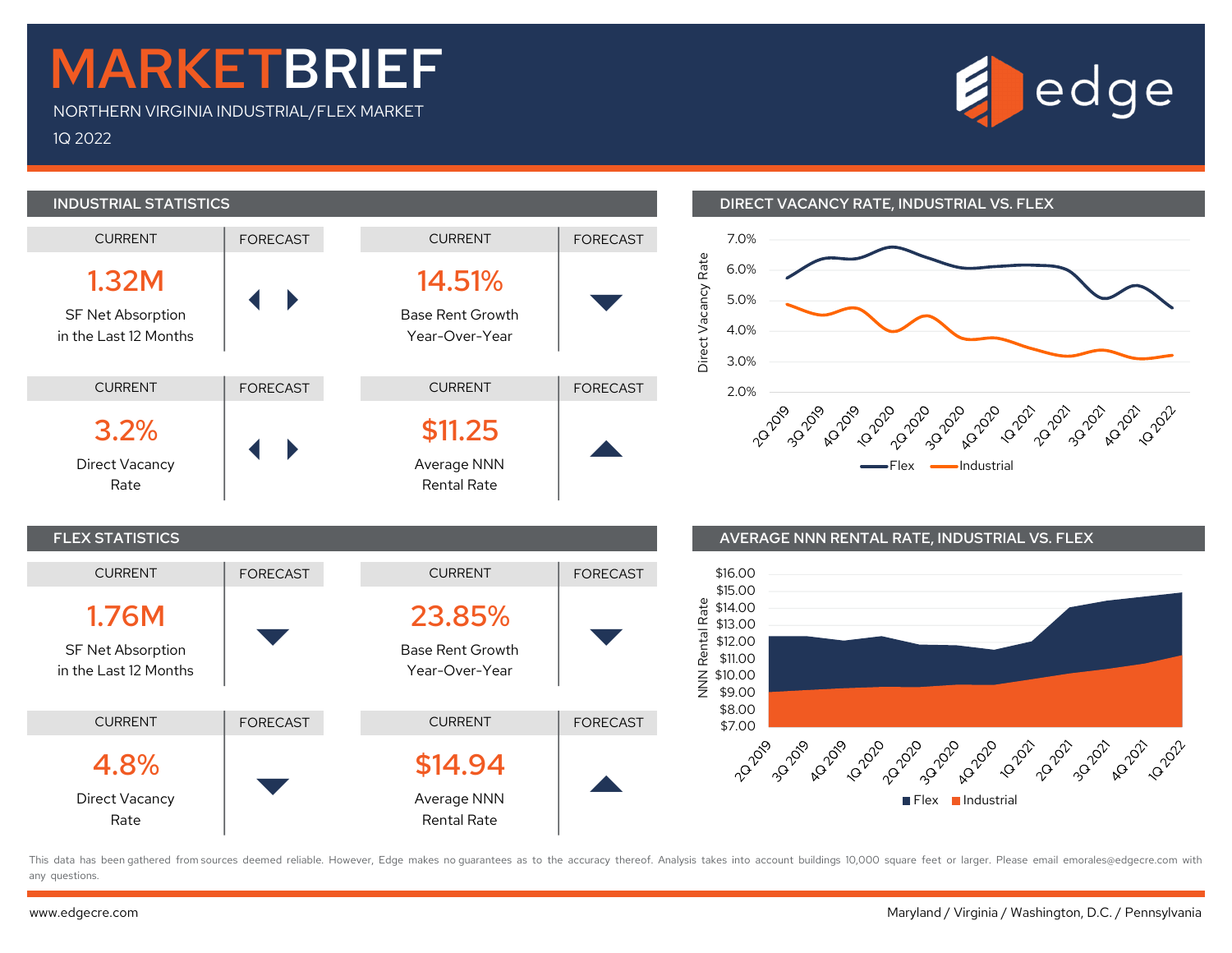## MARKETBRIEF

NORTHERN VIRGINIA INDUSTRIAL/FLEX MARKET 1Q 2022





## INDUSTRIAL STATISTICS DIRECT VACANCY RATE, INDUSTRIAL VS. FLEX





This data has been gathered from sources deemed reliable. However, Edge makes no quarantees as to the accuracy thereof. Analysis takes into account buildings 10,000 square feet or larger. Please email emorales@edgecre.com any questions.